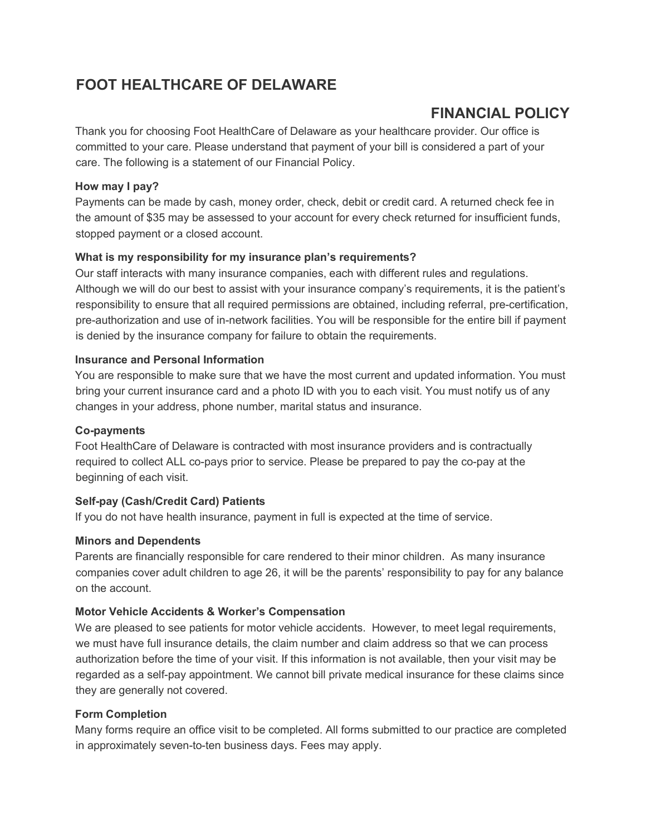# **FOOT HEALTHCARE OF DELAWARE**

# **FINANCIAL POLICY**

Thank you for choosing Foot HealthCare of Delaware as your healthcare provider. Our office is committed to your care. Please understand that payment of your bill is considered a part of your care. The following is a statement of our Financial Policy.

## **How may I pay?**

Payments can be made by cash, money order, check, debit or credit card. A returned check fee in the amount of \$35 may be assessed to your account for every check returned for insufficient funds, stopped payment or a closed account.

## **What is my responsibility for my insurance plan's requirements?**

Our staff interacts with many insurance companies, each with different rules and regulations. Although we will do our best to assist with your insurance company's requirements, it is the patient's responsibility to ensure that all required permissions are obtained, including referral, pre-certification, pre-authorization and use of in-network facilities. You will be responsible for the entire bill if payment is denied by the insurance company for failure to obtain the requirements.

#### **Insurance and Personal Information**

You are responsible to make sure that we have the most current and updated information. You must bring your current insurance card and a photo ID with you to each visit. You must notify us of any changes in your address, phone number, marital status and insurance.

#### **Co-payments**

Foot HealthCare of Delaware is contracted with most insurance providers and is contractually required to collect ALL co-pays prior to service. Please be prepared to pay the co-pay at the beginning of each visit.

#### **Self-pay (Cash/Credit Card) Patients**

If you do not have health insurance, payment in full is expected at the time of service.

#### **Minors and Dependents**

Parents are financially responsible for care rendered to their minor children. As many insurance companies cover adult children to age 26, it will be the parents' responsibility to pay for any balance on the account.

#### **Motor Vehicle Accidents & Worker's Compensation**

We are pleased to see patients for motor vehicle accidents. However, to meet legal requirements, we must have full insurance details, the claim number and claim address so that we can process authorization before the time of your visit. If this information is not available, then your visit may be regarded as a self-pay appointment. We cannot bill private medical insurance for these claims since they are generally not covered.

#### **Form Completion**

Many forms require an office visit to be completed. All forms submitted to our practice are completed in approximately seven-to-ten business days. Fees may apply.